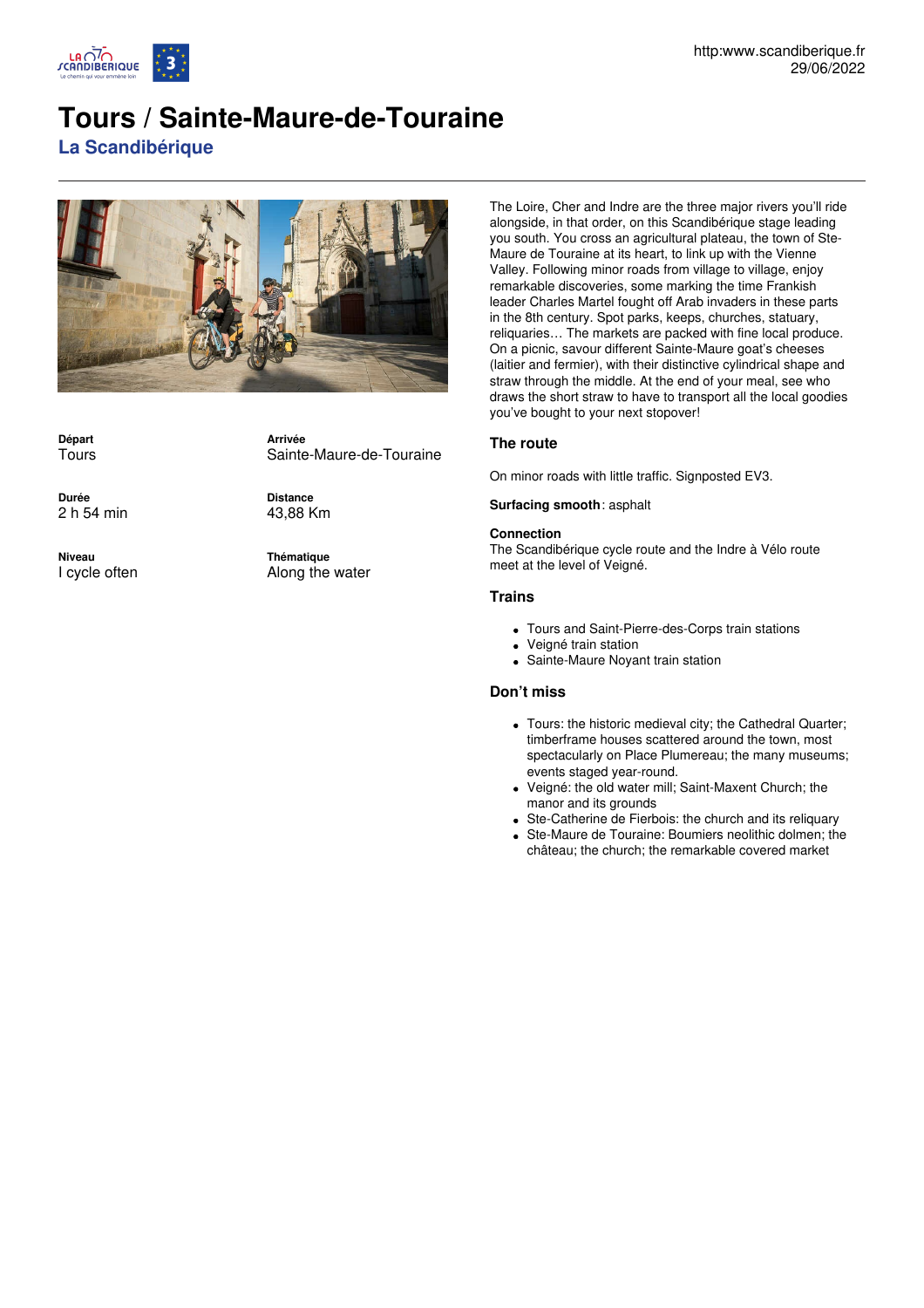

# **Tours / Sainte-Maure-de-Touraine**

**La Scandibérique**



**Départ Tours** 

**Durée** 2 h 54 min

**Niveau** I cycle often Sainte-Maure-de-Touraine

43,88 Km

**Arrivée**

**Distance**

**Thématique** Along the water

The Loire, Cher and Indre are the three major rivers you'll ride alongside, in that order, on this Scandibérique stage leading you south. You cross an agricultural plateau, the town of Ste-Maure de Touraine at its heart, to link up with the Vienne Valley. Following minor roads from village to village, enjoy remarkable discoveries, some marking the time Frankish leader Charles Martel fought off Arab invaders in these parts in the 8th century. Spot parks, keeps, churches, statuary, reliquaries… The markets are packed with fine local produce. On a picnic, savour different Sainte-Maure goat's cheeses (laitier and fermier), with their distinctive cylindrical shape and straw through the middle. At the end of your meal, see who draws the short straw to have to transport all the local goodies you've bought to your next stopover!

## **The route**

On minor roads with little traffic. Signposted EV3.

### **Surfacing smooth**: asphalt

#### **Connection**

The Scandibérique cycle route and the Indre à Vélo route meet at the level of Veigné.

### **Trains**

- Tours and Saint-Pierre-des-Corps train stations
- Veigné train station
- Sainte-Maure Noyant train station

### **Don't miss**

- Tours: the historic medieval city; the Cathedral Quarter; timberframe houses scattered around the town, most spectacularly on Place Plumereau; the many museums; events staged year-round.
- Veigné: the old water mill; Saint-Maxent Church; the manor and its grounds
- Ste-Catherine de Fierbois: the church and its reliquary
- Ste-Maure de Touraine: Boumiers neolithic dolmen; the château; the church; the remarkable covered market